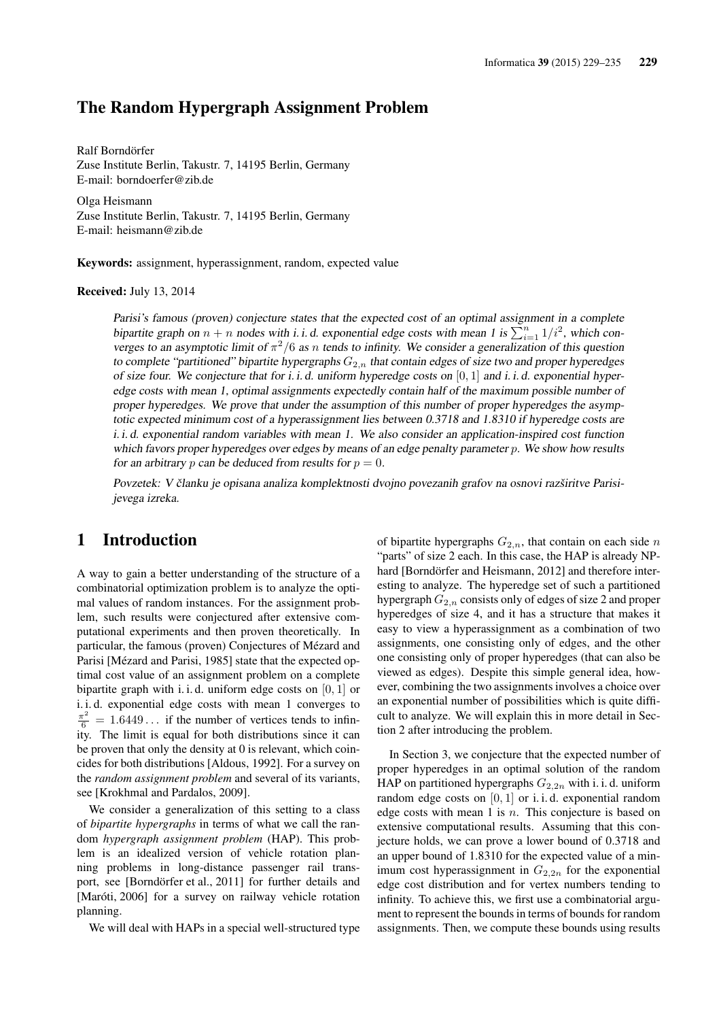## The Random Hypergraph Assignment Problem

Ralf Borndörfer Zuse Institute Berlin, Takustr. 7, 14195 Berlin, Germany E-mail: borndoerfer@zib.de

Olga Heismann Zuse Institute Berlin, Takustr. 7, 14195 Berlin, Germany E-mail: heismann@zib.de

Keywords: assignment, hyperassignment, random, expected value

Received: July 13, 2014

Parisi's famous (proven) conjecture states that the expected cost of an optimal assignment in a complete bipartite graph on  $n + n$  nodes with i. i. d. exponential edge costs with mean 1 is  $\sum_{i=1}^{n} 1/i^2$ , which converges to an asymptotic limit of  $\pi^2/6$  as n tends to infinity. We consider a generalization of this question to complete "partitioned" bipartite hypergraphs  $G_{2,n}$  that contain edges of size two and proper hyperedges of size four. We conjecture that for i. i. d. uniform hyperedge costs on  $[0, 1]$  and i. i. d. exponential hyperedge costs with mean 1, optimal assignments expectedly contain half of the maximum possible number of proper hyperedges. We prove that under the assumption of this number of proper hyperedges the asymptotic expected minimum cost of a hyperassignment lies between 0.3718 and 1.8310 if hyperedge costs are i. i. d. exponential random variables with mean 1. We also consider an application-inspired cost function which favors proper hyperedges over edges by means of an edge penalty parameter p. We show how results for an arbitrary p can be deduced from results for  $p = 0$ .

Povzetek: V članku je opisana analiza komplektnosti dvojno povezanih grafov na osnovi razširitve Parisijevega izreka.

## 1 Introduction

A way to gain a better understanding of the structure of a combinatorial optimization problem is to analyze the optimal values of random instances. For the assignment problem, such results were conjectured after extensive computational experiments and then proven theoretically. In particular, the famous (proven) Conjectures of Mézard and Parisi [Mézard and Parisi, 1985] state that the expected optimal cost value of an assignment problem on a complete bipartite graph with i. i. d. uniform edge costs on  $[0, 1]$  or i. i. d. exponential edge costs with mean 1 converges to  $\frac{\pi^2}{6}$  = 1.6449... if the number of vertices tends to infinity. The limit is equal for both distributions since it can be proven that only the density at 0 is relevant, which coincides for both distributions [Aldous, 1992]. For a survey on the *random assignment problem* and several of its variants, see [Krokhmal and Pardalos, 2009].

We consider a generalization of this setting to a class of *bipartite hypergraphs* in terms of what we call the random *hypergraph assignment problem* (HAP). This problem is an idealized version of vehicle rotation planning problems in long-distance passenger rail transport, see [Borndörfer et al., 2011] for further details and [Maróti, 2006] for a survey on railway vehicle rotation planning.

We will deal with HAPs in a special well-structured type

of bipartite hypergraphs  $G_{2,n}$ , that contain on each side n "parts" of size 2 each. In this case, the HAP is already NPhard [Borndörfer and Heismann, 2012] and therefore interesting to analyze. The hyperedge set of such a partitioned hypergraph  $G_{2,n}$  consists only of edges of size 2 and proper hyperedges of size 4, and it has a structure that makes it easy to view a hyperassignment as a combination of two assignments, one consisting only of edges, and the other one consisting only of proper hyperedges (that can also be viewed as edges). Despite this simple general idea, however, combining the two assignments involves a choice over an exponential number of possibilities which is quite difficult to analyze. We will explain this in more detail in Section 2 after introducing the problem.

In Section 3, we conjecture that the expected number of proper hyperedges in an optimal solution of the random HAP on partitioned hypergraphs  $G_{2,2n}$  with i. i. d. uniform random edge costs on  $[0, 1]$  or i.i.d. exponential random edge costs with mean 1 is  $n$ . This conjecture is based on extensive computational results. Assuming that this conjecture holds, we can prove a lower bound of 0.3718 and an upper bound of 1.8310 for the expected value of a minimum cost hyperassignment in  $G_{2,2n}$  for the exponential edge cost distribution and for vertex numbers tending to infinity. To achieve this, we first use a combinatorial argument to represent the bounds in terms of bounds for random assignments. Then, we compute these bounds using results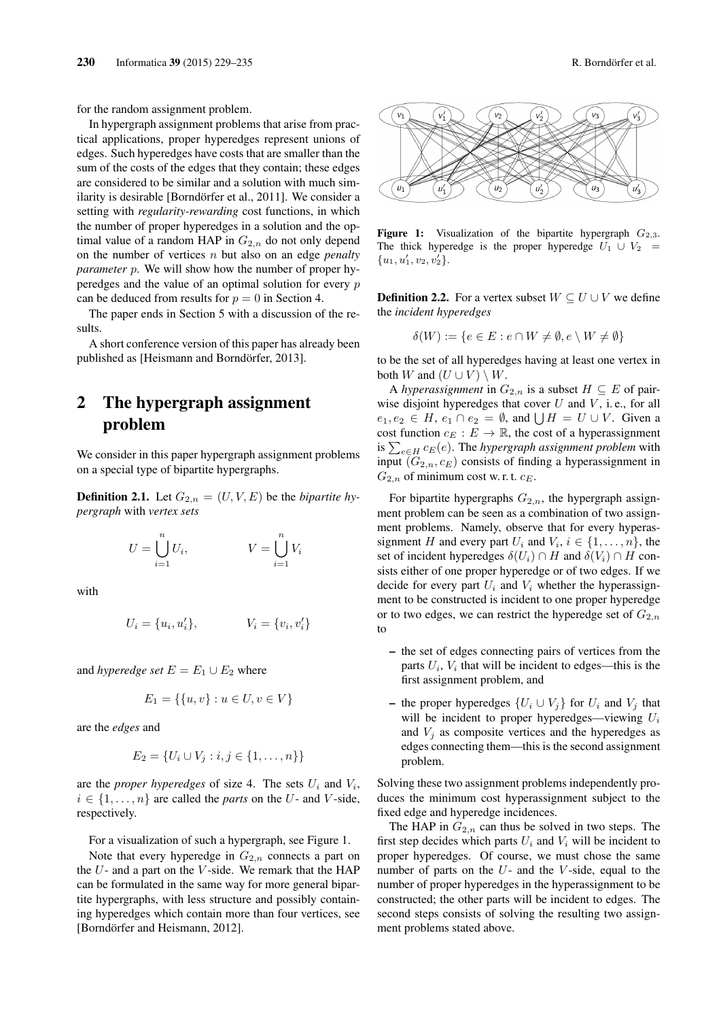for the random assignment problem.

In hypergraph assignment problems that arise from practical applications, proper hyperedges represent unions of edges. Such hyperedges have costs that are smaller than the sum of the costs of the edges that they contain; these edges are considered to be similar and a solution with much similarity is desirable [Borndörfer et al., 2011]. We consider a setting with *regularity-rewarding* cost functions, in which the number of proper hyperedges in a solution and the optimal value of a random HAP in  $G_{2,n}$  do not only depend on the number of vertices n but also on an edge *penalty parameter* p. We will show how the number of proper hyperedges and the value of an optimal solution for every p can be deduced from results for  $p = 0$  in Section 4.

The paper ends in Section 5 with a discussion of the results.

A short conference version of this paper has already been published as [Heismann and Borndörfer, 2013].

## 2 The hypergraph assignment problem

We consider in this paper hypergraph assignment problems on a special type of bipartite hypergraphs.

**Definition 2.1.** Let  $G_{2,n} = (U, V, E)$  be the *bipartite hypergraph* with *vertex sets*

$$
U = \bigcup_{i=1}^{n} U_i, \qquad V = \bigcup_{i=1}^{n} V_i
$$

with

$$
U_i = \{u_i, u'_i\}, \qquad V_i = \{v_i, v'_i\}
$$

and *hyperedge set*  $E = E_1 \cup E_2$  where

$$
E_1 = \{ \{u, v\} : u \in U, v \in V \}
$$

are the *edges* and

$$
E_2 = \{U_i \cup V_j : i, j \in \{1, ..., n\}\}\
$$

are the *proper hyperedges* of size 4. The sets  $U_i$  and  $V_i$ ,  $i \in \{1, \ldots, n\}$  are called the *parts* on the U- and V-side, respectively.

For a visualization of such a hypergraph, see Figure 1.

Note that every hyperedge in  $G_{2,n}$  connects a part on the  $U$ - and a part on the  $V$ -side. We remark that the HAP can be formulated in the same way for more general bipartite hypergraphs, with less structure and possibly containing hyperedges which contain more than four vertices, see [Borndörfer and Heismann, 2012].



Figure 1: Visualization of the bipartite hypergraph  $G_{2,3}$ . The thick hyperedge is the proper hyperedge  $U_1 \cup V_2 =$  ${u_1, u'_1, v_2, v'_2}.$ 

**Definition 2.2.** For a vertex subset  $W \subseteq U \cup V$  we define the *incident hyperedges*

$$
\delta(W) := \{ e \in E : e \cap W \neq \emptyset, e \setminus W \neq \emptyset \}
$$

to be the set of all hyperedges having at least one vertex in both W and  $(U \cup V) \setminus W$ .

A *hyperassignment* in  $G_{2,n}$  is a subset  $H \subseteq E$  of pairwise disjoint hyperedges that cover  $U$  and  $V$ , i.e., for all  $e_1, e_2 \in H$ ,  $e_1 \cap e_2 = \emptyset$ , and  $\bigcup H = U \cup V$ . Given a cost function  $c_E : E \to \mathbb{R}$ , the cost of a hyperassignment is  $\sum_{e \in H} c_E(e)$ . The *hypergraph assignment problem* with input  $(G_{2,n}, c_E)$  consists of finding a hyperassignment in  $G_{2,n}$  of minimum cost w.r.t.  $c_E$ .

For bipartite hypergraphs  $G_{2,n}$ , the hypergraph assignment problem can be seen as a combination of two assignment problems. Namely, observe that for every hyperassignment H and every part  $U_i$  and  $V_i$ ,  $i \in \{1, \ldots, n\}$ , the set of incident hyperedges  $\delta(U_i) \cap H$  and  $\delta(V_i) \cap H$  consists either of one proper hyperedge or of two edges. If we decide for every part  $U_i$  and  $V_i$  whether the hyperassignment to be constructed is incident to one proper hyperedge or to two edges, we can restrict the hyperedge set of  $G_{2,n}$ to

- the set of edges connecting pairs of vertices from the parts  $U_i$ ,  $V_i$  that will be incident to edges—this is the first assignment problem, and
- the proper hyperedges  $\{U_i \cup V_j\}$  for  $U_i$  and  $V_j$  that will be incident to proper hyperedges—viewing  $U_i$ and  $V_i$  as composite vertices and the hyperedges as edges connecting them—this is the second assignment problem.

Solving these two assignment problems independently produces the minimum cost hyperassignment subject to the fixed edge and hyperedge incidences.

The HAP in  $G_{2,n}$  can thus be solved in two steps. The first step decides which parts  $U_i$  and  $V_i$  will be incident to proper hyperedges. Of course, we must chose the same number of parts on the  $U$ - and the  $V$ -side, equal to the number of proper hyperedges in the hyperassignment to be constructed; the other parts will be incident to edges. The second steps consists of solving the resulting two assignment problems stated above.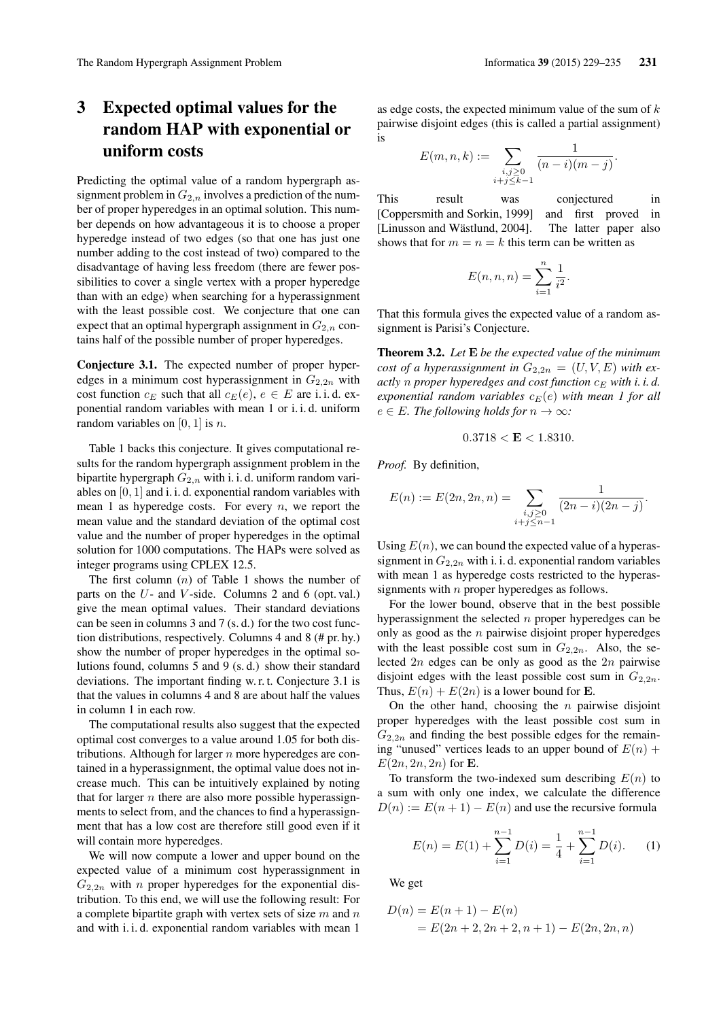# 3 Expected optimal values for the random HAP with exponential or uniform costs

Predicting the optimal value of a random hypergraph assignment problem in  $G_{2,n}$  involves a prediction of the number of proper hyperedges in an optimal solution. This number depends on how advantageous it is to choose a proper hyperedge instead of two edges (so that one has just one number adding to the cost instead of two) compared to the disadvantage of having less freedom (there are fewer possibilities to cover a single vertex with a proper hyperedge than with an edge) when searching for a hyperassignment with the least possible cost. We conjecture that one can expect that an optimal hypergraph assignment in  $G_{2,n}$  contains half of the possible number of proper hyperedges.

Conjecture 3.1. The expected number of proper hyperedges in a minimum cost hyperassignment in  $G_{2,2n}$  with cost function  $c_E$  such that all  $c_E(e)$ ,  $e \in E$  are i. i. d. exponential random variables with mean 1 or i. i. d. uniform random variables on  $[0, 1]$  is n.

Table 1 backs this conjecture. It gives computational results for the random hypergraph assignment problem in the bipartite hypergraph  $G_{2,n}$  with i. i. d. uniform random variables on [0, 1] and i. i. d. exponential random variables with mean 1 as hyperedge costs. For every  $n$ , we report the mean value and the standard deviation of the optimal cost value and the number of proper hyperedges in the optimal solution for 1000 computations. The HAPs were solved as integer programs using CPLEX 12.5.

The first column  $(n)$  of Table 1 shows the number of parts on the  $U$ - and  $V$ -side. Columns 2 and 6 (opt. val.) give the mean optimal values. Their standard deviations can be seen in columns 3 and 7 (s. d.) for the two cost function distributions, respectively. Columns 4 and 8 (# pr. hy.) show the number of proper hyperedges in the optimal solutions found, columns 5 and 9 (s. d.) show their standard deviations. The important finding w. r. t. Conjecture 3.1 is that the values in columns 4 and 8 are about half the values in column 1 in each row.

The computational results also suggest that the expected optimal cost converges to a value around 1.05 for both distributions. Although for larger  $n$  more hyperedges are contained in a hyperassignment, the optimal value does not increase much. This can be intuitively explained by noting that for larger  $n$  there are also more possible hyperassignments to select from, and the chances to find a hyperassignment that has a low cost are therefore still good even if it will contain more hyperedges.

We will now compute a lower and upper bound on the expected value of a minimum cost hyperassignment in  $G_{2,2n}$  with *n* proper hyperedges for the exponential distribution. To this end, we will use the following result: For a complete bipartite graph with vertex sets of size  $m$  and  $n$ and with i. i. d. exponential random variables with mean 1

as edge costs, the expected minimum value of the sum of  $k$ pairwise disjoint edges (this is called a partial assignment) is

$$
E(m, n, k) := \sum_{\substack{i,j \geq 0 \\ i+j \leq k-1}} \frac{1}{(n-i)(m-j)}.
$$

This result was conjectured in [Coppersmith and Sorkin, 1999] and first proved in [Linusson and Wästlund, 2004]. The latter paper also shows that for  $m = n = k$  this term can be written as

$$
E(n, n, n) = \sum_{i=1}^{n} \frac{1}{i^2}.
$$

That this formula gives the expected value of a random assignment is Parisi's Conjecture.

Theorem 3.2. *Let* E *be the expected value of the minimum cost of a hyperassignment in*  $G_{2,2n} = (U, V, E)$  *with exactly n* proper hyperedges and cost function  $c_E$  with *i. i. d. exponential random variables*  $c_E(e)$  *with mean 1 for all*  $e \in E$ *. The following holds for*  $n \to \infty$ *:* 

$$
0.3718 < E < 1.8310.
$$

*Proof.* By definition,

$$
E(n) := E(2n, 2n, n) = \sum_{\substack{i,j \ge 0 \\ i+j \le n-1}} \frac{1}{(2n-i)(2n-j)}.
$$

Using  $E(n)$ , we can bound the expected value of a hyperassignment in  $G_{2,2n}$  with i. i. d. exponential random variables with mean 1 as hyperedge costs restricted to the hyperassignments with  $n$  proper hyperedges as follows.

For the lower bound, observe that in the best possible hyperassignment the selected  $n$  proper hyperedges can be only as good as the  $n$  pairwise disjoint proper hyperedges with the least possible cost sum in  $G_{2,2n}$ . Also, the selected  $2n$  edges can be only as good as the  $2n$  pairwise disjoint edges with the least possible cost sum in  $G_{2,2n}$ . Thus,  $E(n) + E(2n)$  is a lower bound for **E**.

On the other hand, choosing the  $n$  pairwise disjoint proper hyperedges with the least possible cost sum in  $G_{2,2n}$  and finding the best possible edges for the remaining "unused" vertices leads to an upper bound of  $E(n)$  +  $E(2n, 2n, 2n)$  for **E**.

To transform the two-indexed sum describing  $E(n)$  to a sum with only one index, we calculate the difference  $D(n) := E(n+1) - E(n)$  and use the recursive formula

$$
E(n) = E(1) + \sum_{i=1}^{n-1} D(i) = \frac{1}{4} + \sum_{i=1}^{n-1} D(i).
$$
 (1)

We get

$$
D(n) = E(n + 1) – E(n)
$$
  
= E(2n + 2, 2n + 2, n + 1) – E(2n, 2n, n)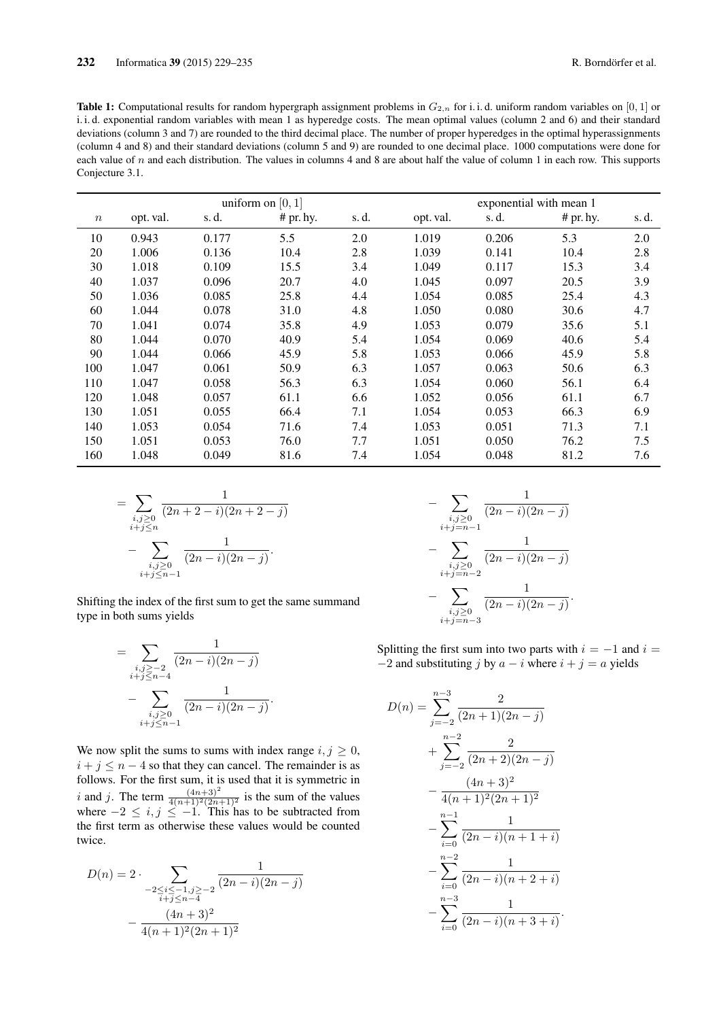Table 1: Computational results for random hypergraph assignment problems in  $G_{2,n}$  for i. i. d. uniform random variables on [0, 1] or i. i. d. exponential random variables with mean 1 as hyperedge costs. The mean optimal values (column 2 and 6) and their standard deviations (column 3 and 7) are rounded to the third decimal place. The number of proper hyperedges in the optimal hyperassignments (column 4 and 8) and their standard deviations (column 5 and 9) are rounded to one decimal place. 1000 computations were done for each value of  $n$  and each distribution. The values in columns 4 and 8 are about half the value of column 1 in each row. This supports Conjecture 3.1.

|       | uniform on $[0, 1]$ |       |           |       | exponential with mean 1 |       |           |       |
|-------|---------------------|-------|-----------|-------|-------------------------|-------|-----------|-------|
| $\,n$ | opt. val.           | s.d.  | # pr. hy. | s. d. | opt. val.               | s.d.  | # pr. hy. | s. d. |
| 10    | 0.943               | 0.177 | 5.5       | 2.0   | 1.019                   | 0.206 | 5.3       | 2.0   |
| 20    | 1.006               | 0.136 | 10.4      | 2.8   | 1.039                   | 0.141 | 10.4      | 2.8   |
| 30    | 1.018               | 0.109 | 15.5      | 3.4   | 1.049                   | 0.117 | 15.3      | 3.4   |
| 40    | 1.037               | 0.096 | 20.7      | 4.0   | 1.045                   | 0.097 | 20.5      | 3.9   |
| 50    | 1.036               | 0.085 | 25.8      | 4.4   | 1.054                   | 0.085 | 25.4      | 4.3   |
| 60    | 1.044               | 0.078 | 31.0      | 4.8   | 1.050                   | 0.080 | 30.6      | 4.7   |
| 70    | 1.041               | 0.074 | 35.8      | 4.9   | 1.053                   | 0.079 | 35.6      | 5.1   |
| 80    | 1.044               | 0.070 | 40.9      | 5.4   | 1.054                   | 0.069 | 40.6      | 5.4   |
| 90    | 1.044               | 0.066 | 45.9      | 5.8   | 1.053                   | 0.066 | 45.9      | 5.8   |
| 100   | 1.047               | 0.061 | 50.9      | 6.3   | 1.057                   | 0.063 | 50.6      | 6.3   |
| 110   | 1.047               | 0.058 | 56.3      | 6.3   | 1.054                   | 0.060 | 56.1      | 6.4   |
| 120   | 1.048               | 0.057 | 61.1      | 6.6   | 1.052                   | 0.056 | 61.1      | 6.7   |
| 130   | 1.051               | 0.055 | 66.4      | 7.1   | 1.054                   | 0.053 | 66.3      | 6.9   |
| 140   | 1.053               | 0.054 | 71.6      | 7.4   | 1.053                   | 0.051 | 71.3      | 7.1   |
| 150   | 1.051               | 0.053 | 76.0      | 7.7   | 1.051                   | 0.050 | 76.2      | 7.5   |
| 160   | 1.048               | 0.049 | 81.6      | 7.4   | 1.054                   | 0.048 | 81.2      | 7.6   |

$$
= \sum_{\substack{i,j\geq 0\\i+j\leq n}} \frac{1}{(2n+2-i)(2n+2-j)}
$$

$$
- \sum_{\substack{i,j\geq 0\\i+j\leq n-1}} \frac{1}{(2n-i)(2n-j)}.
$$

Shifting the index of the first sum to get the same summand type in both sums yields

$$
= \sum_{\substack{i,j \geq -2 \\ i+j \leq n-4}} \frac{1}{(2n-i)(2n-j)} - \sum_{\substack{i,j \geq 0 \\ i+j \leq n-1}} \frac{1}{(2n-i)(2n-j)}.
$$

We now split the sums to sums with index range  $i, j \geq 0$ ,  $i + j \leq n - 4$  so that they can cancel. The remainder is as follows. For the first sum, it is used that it is symmetric in i and j. The term  $\frac{(4n+3)^2}{4(n+1)^2(2n+1)^2}$  is the sum of the values where  $-2 \le i, j \le -1$ . This has to be subtracted from the first term as otherwise these values would be counted twice.

$$
D(n) = 2 \cdot \sum_{\substack{-2 \le i \le -1, j \ge -2 \\ i+j \le n-4}} \frac{1}{(2n-i)(2n-j)}
$$

$$
-\frac{(4n+3)^2}{4(n+1)^2(2n+1)^2}
$$

$$
-\sum_{\substack{i,j\geq 0\\i+j=n-1}}\frac{1}{(2n-i)(2n-j)}
$$

$$
-\sum_{\substack{i,j\geq 0\\i+j=n-2}}\frac{1}{(2n-i)(2n-j)}
$$

$$
-\sum_{\substack{i,j\geq 0\\i+j=n-3}}\frac{1}{(2n-i)(2n-j)}.
$$

Splitting the first sum into two parts with  $i = -1$  and  $i =$  $-2$  and substituting j by  $a - i$  where  $i + j = a$  yields

$$
D(n) = \sum_{j=-2}^{n-3} \frac{2}{(2n+1)(2n-j)}
$$
  
+ 
$$
\sum_{j=-2}^{n-2} \frac{2}{(2n+2)(2n-j)}
$$
  
- 
$$
\frac{(4n+3)^2}{4(n+1)^2(2n+1)^2}
$$
  
- 
$$
\sum_{i=0}^{n-1} \frac{1}{(2n-i)(n+1+i)}
$$
  
- 
$$
\sum_{i=0}^{n-2} \frac{1}{(2n-i)(n+2+i)}
$$
  
- 
$$
\sum_{i=0}^{n-3} \frac{1}{(2n-i)(n+3+i)}.
$$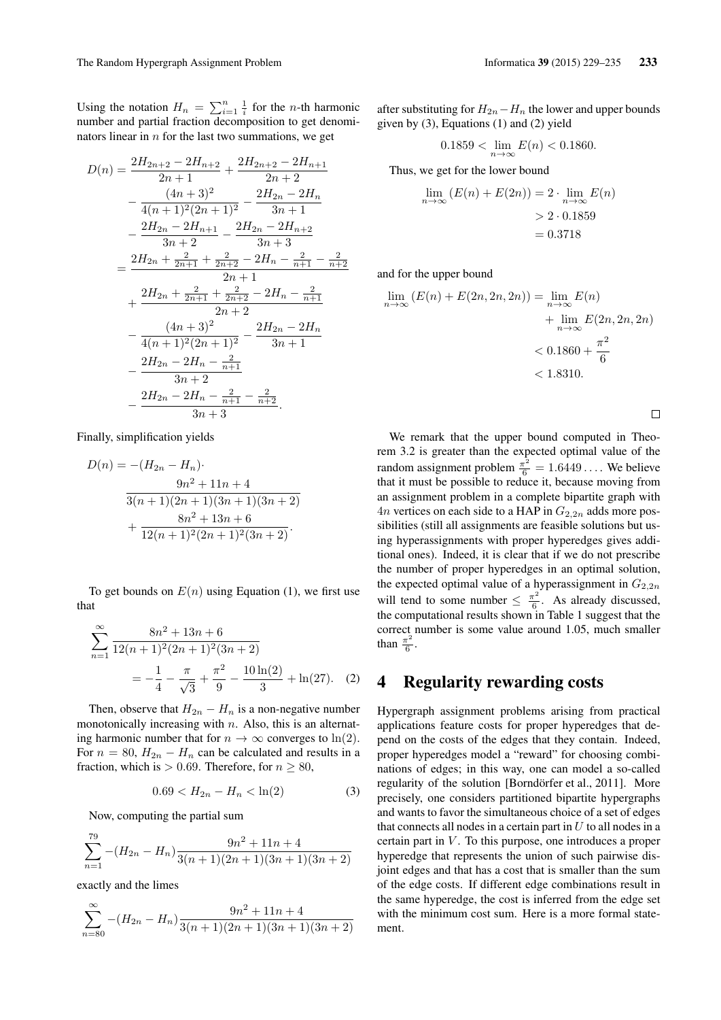Using the notation  $H_n = \sum_{i=1}^n \frac{1}{i}$  for the *n*-th harmonic number and partial fraction decomposition to get denominators linear in  $n$  for the last two summations, we get

$$
D(n) = \frac{2H_{2n+2} - 2H_{n+2}}{2n+1} + \frac{2H_{2n+2} - 2H_{n+1}}{2n+2}
$$
  

$$
- \frac{(4n+3)^2}{4(n+1)^2(2n+1)^2} - \frac{2H_{2n} - 2H_n}{3n+1}
$$
  

$$
- \frac{2H_{2n} - 2H_{n+1}}{3n+2} - \frac{2H_{2n} - 2H_{n+2}}{3n+3}
$$
  

$$
= \frac{2H_{2n} + \frac{2}{2n+1} + \frac{2}{2n+2} - 2H_n - \frac{2}{n+1}}{2n+1} - \frac{2H_{2n} + \frac{2}{2n+1} + \frac{2}{2n+2} - 2H_n - \frac{2}{n+1}}{2n+2}
$$
  

$$
- \frac{(4n+3)^2}{4(n+1)^2(2n+1)^2} - \frac{2H_{2n} - 2H_n}{3n+1}
$$
  

$$
- \frac{2H_{2n} - 2H_n - \frac{2}{n+1}}{3n+2}
$$
  

$$
- \frac{2H_{2n} - 2H_n - \frac{2}{n+1} - \frac{2}{n+2}}{3n+3}.
$$

Finally, simplification yields

$$
D(n) = -(H_{2n} - H_n) \cdot
$$
  
\n
$$
\frac{9n^2 + 11n + 4}{3(n+1)(2n+1)(3n+1)(3n+2)}
$$
  
\n
$$
+ \frac{8n^2 + 13n + 6}{12(n+1)^2(2n+1)^2(3n+2)}
$$

To get bounds on  $E(n)$  using Equation (1), we first use that

$$
\sum_{n=1}^{\infty} \frac{8n^2 + 13n + 6}{12(n+1)^2(2n+1)^2(3n+2)}
$$
  
=  $-\frac{1}{4} - \frac{\pi}{\sqrt{3}} + \frac{\pi^2}{9} - \frac{10\ln(2)}{3} + \ln(27)$ . (2)

Then, observe that  $H_{2n} - H_n$  is a non-negative number monotonically increasing with  $n$ . Also, this is an alternating harmonic number that for  $n \to \infty$  converges to ln(2). For  $n = 80$ ,  $H_{2n} - H_n$  can be calculated and results in a fraction, which is > 0.69. Therefore, for  $n \ge 80$ ,

$$
0.69 < H_{2n} - H_n < \ln(2) \tag{3}
$$

Now, computing the partial sum

$$
\sum_{n=1}^{79} -(H_{2n} - H_n) \frac{9n^2 + 11n + 4}{3(n+1)(2n+1)(3n+1)(3n+2)}
$$

exactly and the limes

$$
\sum_{n=80}^{\infty} -(H_{2n} - H_n) \frac{9n^2 + 11n + 4}{3(n+1)(2n+1)(3n+1)(3n+2)}
$$

after substituting for  $H_{2n} - H_n$  the lower and upper bounds given by (3), Equations (1) and (2) yield

$$
0.1859 < \lim_{n \to \infty} E(n) < 0.1860.
$$

Thus, we get for the lower bound

$$
\lim_{n \to \infty} (E(n) + E(2n)) = 2 \cdot \lim_{n \to \infty} E(n)
$$

$$
> 2 \cdot 0.1859
$$

$$
= 0.3718
$$

and for the upper bound

$$
\lim_{n \to \infty} (E(n) + E(2n, 2n, 2n)) = \lim_{n \to \infty} E(n)
$$
  
+ 
$$
\lim_{n \to \infty} E(2n, 2n, 2n)
$$
  
< 
$$
< 0.1860 + \frac{\pi^2}{6}
$$
  
< 1.8310.

 $\Box$ 

We remark that the upper bound computed in Theorem 3.2 is greater than the expected optimal value of the random assignment problem  $\frac{\pi^2}{6} = 1.6449...$  We believe that it must be possible to reduce it, because moving from an assignment problem in a complete bipartite graph with  $4n$  vertices on each side to a HAP in  $G_{2,2n}$  adds more possibilities (still all assignments are feasible solutions but using hyperassignments with proper hyperedges gives additional ones). Indeed, it is clear that if we do not prescribe the number of proper hyperedges in an optimal solution, the expected optimal value of a hyperassignment in  $G_{2,2n}$ will tend to some number  $\leq \frac{\pi^2}{6}$  $\frac{\pi^2}{6}$ . As already discussed, the computational results shown in Table 1 suggest that the correct number is some value around 1.05, much smaller than  $\frac{\pi^2}{6}$  $\frac{1}{6}$ .

#### 4 Regularity rewarding costs

Hypergraph assignment problems arising from practical applications feature costs for proper hyperedges that depend on the costs of the edges that they contain. Indeed, proper hyperedges model a "reward" for choosing combinations of edges; in this way, one can model a so-called regularity of the solution [Borndörfer et al., 2011]. More precisely, one considers partitioned bipartite hypergraphs and wants to favor the simultaneous choice of a set of edges that connects all nodes in a certain part in  $U$  to all nodes in a certain part in  $V$ . To this purpose, one introduces a proper hyperedge that represents the union of such pairwise disjoint edges and that has a cost that is smaller than the sum of the edge costs. If different edge combinations result in the same hyperedge, the cost is inferred from the edge set with the minimum cost sum. Here is a more formal statement.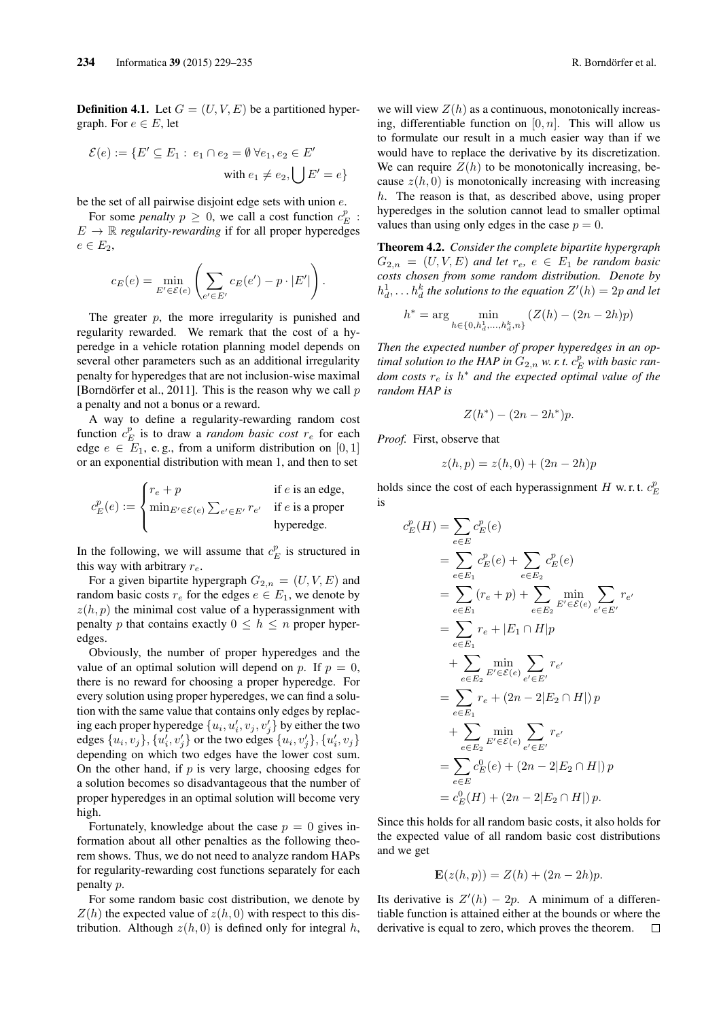**Definition 4.1.** Let  $G = (U, V, E)$  be a partitioned hypergraph. For  $e \in E$ , let

$$
\mathcal{E}(e) := \{ E' \subseteq E_1 : e_1 \cap e_2 = \emptyset \; \forall e_1, e_2 \in E' \; \text{with } e_1 \neq e_2, \bigcup E' = e \}
$$

be the set of all pairwise disjoint edge sets with union  $e$ .

For some *penalty*  $p \ge 0$ , we call a cost function  $c_E^p$ :  $E \rightarrow \mathbb{R}$  *regularity-rewarding* if for all proper hyperedges  $e \in E_2$ 

$$
c_E(e) = \min_{E' \in \mathcal{E}(e)} \left( \sum_{e' \in E'} c_E(e') - p \cdot |E'| \right).
$$

The greater  $p$ , the more irregularity is punished and regularity rewarded. We remark that the cost of a hyperedge in a vehicle rotation planning model depends on several other parameters such as an additional irregularity penalty for hyperedges that are not inclusion-wise maximal [Borndörfer et al., 2011]. This is the reason why we call  $p$ a penalty and not a bonus or a reward.

A way to define a regularity-rewarding random cost function  $c_E^p$  is to draw a *random basic cost*  $r_e$  for each edge  $e \in E_1$ , e.g., from a uniform distribution on [0, 1] or an exponential distribution with mean 1, and then to set

$$
c_E^p(e) := \begin{cases} r_e + p & \text{if } e \text{ is an edge,} \\ \min_{E' \in \mathcal{E}(e)} \sum_{e' \in E'} r_{e'} & \text{if } e \text{ is a proper} \\ \text{hyperedge.} \end{cases}
$$

In the following, we will assume that  $c_E^p$  is structured in this way with arbitrary  $r_e$ .

For a given bipartite hypergraph  $G_{2,n} = (U, V, E)$  and random basic costs  $r_e$  for the edges  $e \in E_1$ , we denote by  $z(h, p)$  the minimal cost value of a hyperassignment with penalty p that contains exactly  $0 \leq h \leq n$  proper hyperedges.

Obviously, the number of proper hyperedges and the value of an optimal solution will depend on p. If  $p = 0$ , there is no reward for choosing a proper hyperedge. For every solution using proper hyperedges, we can find a solution with the same value that contains only edges by replacing each proper hyperedge  $\{u_i, u'_i, v_j, v'_j\}$  by either the two edges  $\{u_i, v_j\}$ ,  $\{u'_i, v'_j\}$  or the two edges  $\{u_i, v'_j\}$ ,  $\{u'_i, v_j\}$ depending on which two edges have the lower cost sum. On the other hand, if  $p$  is very large, choosing edges for a solution becomes so disadvantageous that the number of proper hyperedges in an optimal solution will become very high.

Fortunately, knowledge about the case  $p = 0$  gives information about all other penalties as the following theorem shows. Thus, we do not need to analyze random HAPs for regularity-rewarding cost functions separately for each penalty p.

For some random basic cost distribution, we denote by  $Z(h)$  the expected value of  $z(h, 0)$  with respect to this distribution. Although  $z(h, 0)$  is defined only for integral h, we will view  $Z(h)$  as a continuous, monotonically increasing, differentiable function on  $[0, n]$ . This will allow us to formulate our result in a much easier way than if we would have to replace the derivative by its discretization. We can require  $Z(h)$  to be monotonically increasing, because  $z(h, 0)$  is monotonically increasing with increasing h. The reason is that, as described above, using proper hyperedges in the solution cannot lead to smaller optimal values than using only edges in the case  $p = 0$ .

Theorem 4.2. *Consider the complete bipartite hypergraph*  $G_{2,n} = (U, V, E)$  *and let*  $r_e, e \in E_1$  *be random basic costs chosen from some random distribution. Denote by*  $h_d^1, \ldots h_d^k$  the solutions to the equation  $Z'(h) = 2p$  and let

$$
h^*=\arg\min_{h\in\{0,h_d^1,\ldots,h_d^k,n\}}\left(Z(h)-(2n-2h)p\right)
$$

*Then the expected number of proper hyperedges in an optimal solution to the HAP in*  $G_{2,n}$  *w. r. t.*  $c_E^p$  *with basic random costs*  $r_e$  *is*  $h^∗$  *and the expected optimal value of the random HAP is*

$$
Z(h^*) - (2n - 2h^*)p.
$$

*Proof.* First, observe that

$$
z(h, p) = z(h, 0) + (2n - 2h)p
$$

holds since the cost of each hyperassignment H w.r.t.  $c_E^p$ is

$$
c_E^p(H) = \sum_{e \in E} c_E^p(e)
$$
  
=  $\sum_{e \in E_1} c_E^p(e) + \sum_{e \in E_2} c_E^p(e)$   
=  $\sum_{e \in E_1} (r_e + p) + \sum_{e \in E_2} \min_{E' \in \mathcal{E}(e)} \sum_{e' \in E'} r_{e'}$   
=  $\sum_{e \in E_1} r_e + |E_1 \cap H|p$   
+  $\sum_{e \in E_2} \min_{E' \in \mathcal{E}(e)} \sum_{e' \in E'} r_{e'}$   
=  $\sum_{e \in E_1} r_e + (2n - 2|E_2 \cap H|) p$   
+  $\sum_{e \in E_2} \min_{E' \in \mathcal{E}(e)} \sum_{e' \in E'} r_{e'}$   
=  $\sum_{e \in E} c_E^0(e) + (2n - 2|E_2 \cap H|) p$   
=  $c_E^0(H) + (2n - 2|E_2 \cap H|) p$ .

Since this holds for all random basic costs, it also holds for the expected value of all random basic cost distributions and we get

$$
\mathbf{E}(z(h,p)) = Z(h) + (2n - 2h)p.
$$

Its derivative is  $Z'(h) - 2p$ . A minimum of a differentiable function is attained either at the bounds or where the derivative is equal to zero, which proves the theorem. $\Box$